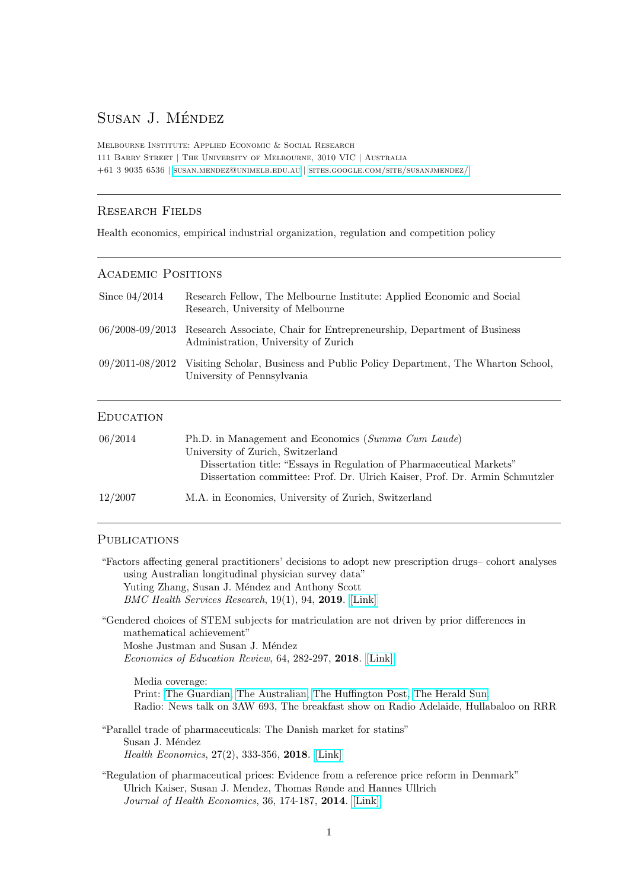# Susan J. Méndez

Melbourne Institute: Applied Economic & Social Research 111 Barry Street | The University of Melbourne, 3010 VIC | Australia  $+61$ 3 9035 6536 | [susan.mendez@unimelb.edu.au](mailto: susan.mendez@unimelb.edu.au) | [sites.google.com/site/susanjmendez/](https://sites.google.com/site/susanjmendez/)

## Research Fields

Health economics, empirical industrial organization, regulation and competition policy

## Academic Positions

| Since $04/2014$ | Research Fellow, The Melbourne Institute: Applied Economic and Social<br>Research, University of Melbourne                     |
|-----------------|--------------------------------------------------------------------------------------------------------------------------------|
|                 | 06/2008-09/2013 Research Associate, Chair for Entrepreneurship, Department of Business<br>Administration, University of Zurich |
|                 | 09/2011-08/2012 Visiting Scholar, Business and Public Policy Department, The Wharton School.<br>University of Pennsylvania     |

## **EDUCATION**

| 06/2014 | Ph.D. in Management and Economics (Summa Cum Laude)<br>University of Zurich, Switzerland<br>Dissertation title: "Essays in Regulation of Pharmaceutical Markets"<br>Dissertation committee: Prof. Dr. Ulrich Kaiser, Prof. Dr. Armin Schmutzler |
|---------|-------------------------------------------------------------------------------------------------------------------------------------------------------------------------------------------------------------------------------------------------|
| 12/2007 | M.A. in Economics, University of Zurich, Switzerland                                                                                                                                                                                            |

## **PUBLICATIONS**

| "Factors affecting general practitioners' decisions to adopt new prescription drugs– cohort analyses<br>using Australian longitudinal physician survey data"                                                                  |
|-------------------------------------------------------------------------------------------------------------------------------------------------------------------------------------------------------------------------------|
| Yuting Zhang, Susan J. Méndez and Anthony Scott                                                                                                                                                                               |
| BMC Health Services Research, 19(1), 94, 2019. [Link]                                                                                                                                                                         |
| "Gendered choices of STEM subjects for matriculation are not driven by prior differences in<br>mathematical achievement"                                                                                                      |
| Moshe Justman and Susan J. Méndez                                                                                                                                                                                             |
| <i>Economics of Education Review</i> , 64, 282-297, 2018. [Link]                                                                                                                                                              |
| Media coverage:                                                                                                                                                                                                               |
| Print: The Guardian, The Australian, The Huffington Post, The Herald Sun.<br>Radio: News talk on 3AW 693, The breakfast show on Radio Adelaide, Hullabaloo on RRR                                                             |
| "Parallel trade of pharmaceuticals: The Danish market for statins"<br>Susan J. Méndez                                                                                                                                         |
| Health Economics, 27(2), 333-356, 2018. [Link]                                                                                                                                                                                |
| "Regulation of pharmaceutical prices: Evidence from a reference price reform in Denmark"<br>Ulrich Kaiser, Susan J. Mendez, Thomas Rønde and Hannes Ullrich<br><i>Journal of Health Economics</i> , 36, 174-187, 2014. [Link] |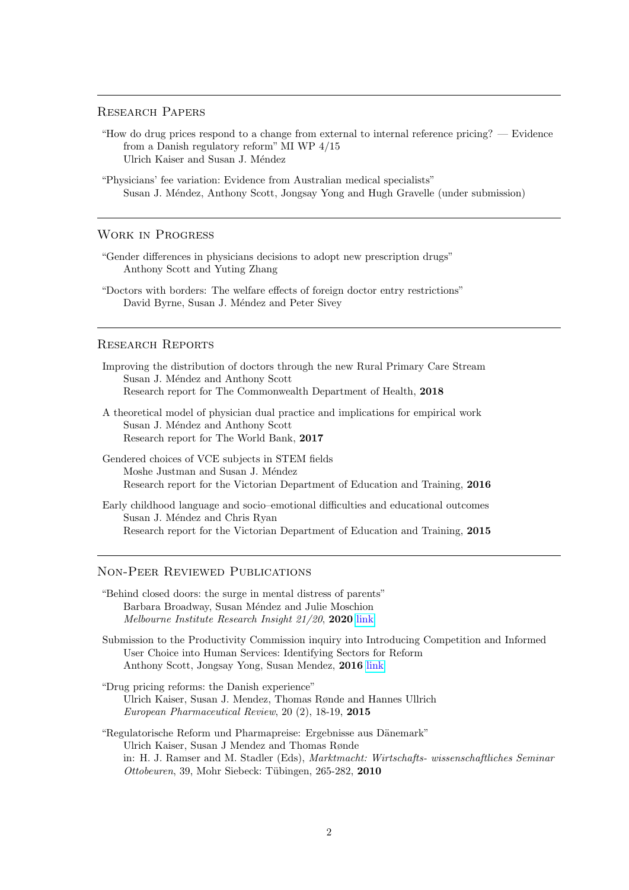#### Research Papers

- "How do drug prices respond to a change from external to internal reference pricing? Evidence from a Danish regulatory reform" MI WP 4/15 Ulrich Kaiser and Susan J. Méndez
- "Physicians' fee variation: Evidence from Australian medical specialists" Susan J. M´endez, Anthony Scott, Jongsay Yong and Hugh Gravelle (under submission)

#### Work in Progress

- "Gender differences in physicians decisions to adopt new prescription drugs" Anthony Scott and Yuting Zhang
- "Doctors with borders: The welfare effects of foreign doctor entry restrictions" David Byrne, Susan J. Méndez and Peter Sivey

### Research Reports

Improving the distribution of doctors through the new Rural Primary Care Stream Susan J. Méndez and Anthony Scott Research report for The Commonwealth Department of Health, 2018

A theoretical model of physician dual practice and implications for empirical work Susan J. Méndez and Anthony Scott Research report for The World Bank, 2017

Gendered choices of VCE subjects in STEM fields Moshe Justman and Susan J. Méndez Research report for the Victorian Department of Education and Training, 2016

Early childhood language and socio–emotional difficulties and educational outcomes Susan J. Méndez and Chris Ryan Research report for the Victorian Department of Education and Training, 2015

#### Non-Peer Reviewed Publications

"Behind closed doors: the surge in mental distress of parents" Barbara Broadway, Susan Méndez and Julie Moschion Melbourne Institute Research Insight 21/20, 2020 [link](https://melbourneinstitute.unimelb.edu.au/__data/assets/pdf_file/0011/3456866/ri2020n21.pdf)

Submission to the Productivity Commission inquiry into Introducing Competition and Informed User Choice into Human Services: Identifying Sectors for Reform Anthony Scott, Jongsay Yong, Susan Mendez, 2016 [link](http://www.pc.gov.au/__data/assets/pdf_file/0013/203035/sub087-human-services-identifying-reform.pdf)

- "Drug pricing reforms: the Danish experience" Ulrich Kaiser, Susan J. Mendez, Thomas Rønde and Hannes Ullrich European Pharmaceutical Review, 20 (2), 18-19, 2015
- "Regulatorische Reform und Pharmapreise: Ergebnisse aus Dänemark" Ulrich Kaiser, Susan J Mendez and Thomas Rønde in: H. J. Ramser and M. Stadler (Eds), Marktmacht: Wirtschafts- wissenschaftliches Seminar  $Octoberen, 39, Mohr Siebeck: Tübingen, 265-282, 2010$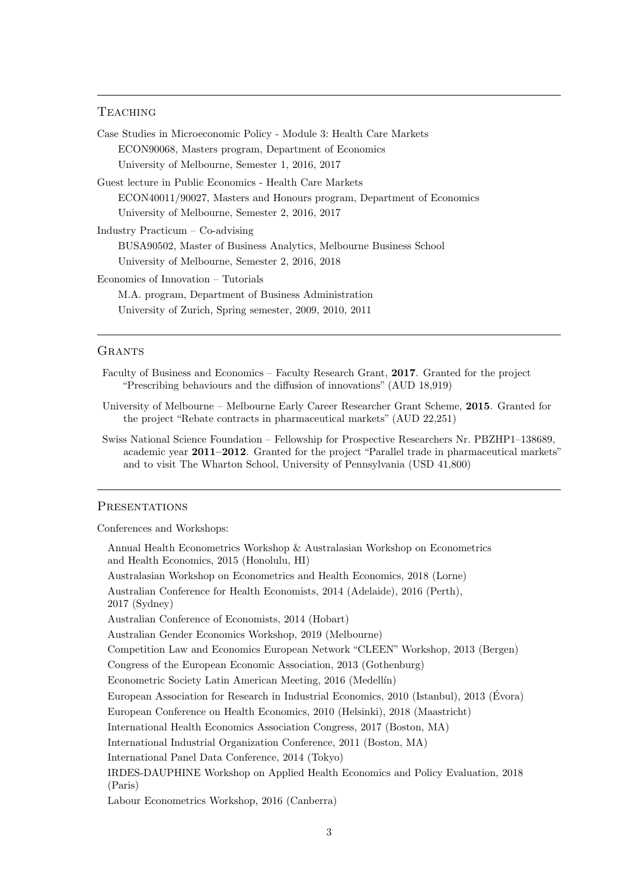## **TEACHING**

| Case Studies in Microeconomic Policy - Module 3: Health Care Markets  |
|-----------------------------------------------------------------------|
| ECON90068, Masters program, Department of Economics                   |
| University of Melbourne, Semester 1, 2016, 2017                       |
| Guest lecture in Public Economics - Health Care Markets               |
| ECON40011/90027, Masters and Honours program, Department of Economics |
| University of Melbourne, Semester 2, 2016, 2017                       |
| Industry Practicum $-\text{Co-advising}$                              |
| BUSA90502, Master of Business Analytics, Melbourne Business School    |
| University of Melbourne, Semester 2, 2016, 2018                       |
| Economics of Innovation – Tutorials                                   |
| M.A. program, Department of Business Administration                   |
| University of Zurich, Spring semester, 2009, 2010, 2011               |

#### **GRANTS**

- Faculty of Business and Economics Faculty Research Grant, 2017. Granted for the project "Prescribing behaviours and the diffusion of innovations" (AUD 18,919)
- University of Melbourne Melbourne Early Career Researcher Grant Scheme, 2015. Granted for the project "Rebate contracts in pharmaceutical markets" (AUD 22,251)
- Swiss National Science Foundation Fellowship for Prospective Researchers Nr. PBZHP1–138689, academic year 2011–2012. Granted for the project "Parallel trade in pharmaceutical markets" and to visit The Wharton School, University of Pennsylvania (USD 41,800)

## **PRESENTATIONS**

Conferences and Workshops:

| Annual Health Econometrics Workshop & Australasian Workshop on Econometrics<br>and Health Economics, 2015 (Honolulu, HI) |
|--------------------------------------------------------------------------------------------------------------------------|
| Australasian Workshop on Econometrics and Health Economics, 2018 (Lorne)                                                 |
| Australian Conference for Health Economists, 2014 (Adelaide), 2016 (Perth),<br>$2017$ (Sydney)                           |
| Australian Conference of Economists, 2014 (Hobart)                                                                       |
| Australian Gender Economics Workshop, 2019 (Melbourne)                                                                   |
| Competition Law and Economics European Network "CLEEN" Workshop, 2013 (Bergen)                                           |
| Congress of the European Economic Association, 2013 (Gothenburg)                                                         |
| Econometric Society Latin American Meeting, 2016 (Medellín)                                                              |
| European Association for Research in Industrial Economics, 2010 (Istanbul), 2013 (Evora)                                 |
| European Conference on Health Economics, 2010 (Helsinki), 2018 (Maastricht)                                              |
| International Health Economics Association Congress, 2017 (Boston, MA)                                                   |
| International Industrial Organization Conference, 2011 (Boston, MA)                                                      |
| International Panel Data Conference, 2014 (Tokyo)                                                                        |
| IRDES-DAUPHINE Workshop on Applied Health Economics and Policy Evaluation, 2018<br>(Paris)                               |
| Labour Econometrics Workshop, 2016 (Canberra)                                                                            |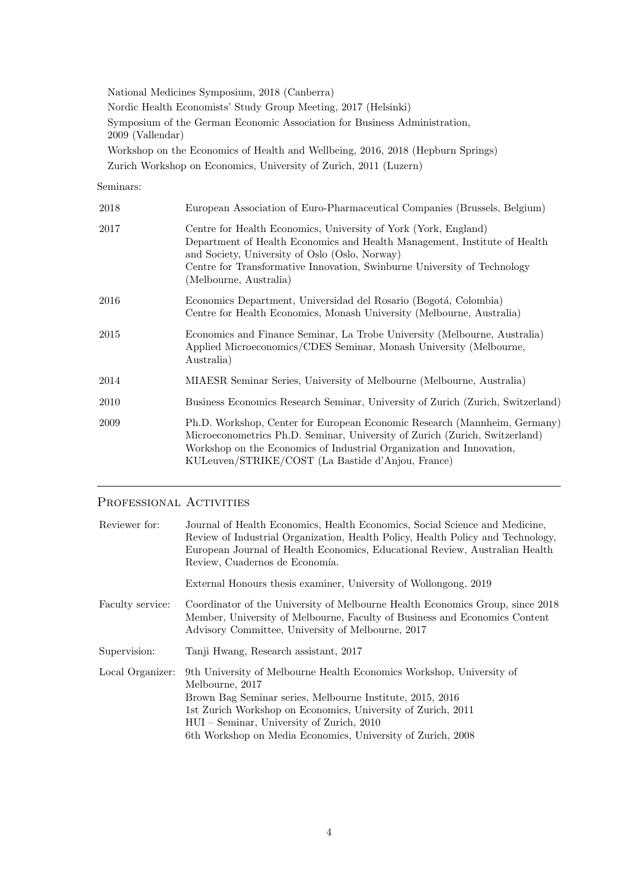National Medicines Symposium, 2018 (Canberra) Nordic Health Economists' Study Group Meeting, 2017 (Helsinki) Symposium of the German Economic Association for Business Administration, 2009 (Vallendar) Workshop on the Economics of Health and Wellbeing, 2016, 2018 (Hepburn Springs) Zurich Workshop on Economics, University of Zurich, 2011 (Luzern)

Seminars:

| 2018 | European Association of Euro-Pharmaceutical Companies (Brussels, Belgium)                                                                                                                                                                                                                            |
|------|------------------------------------------------------------------------------------------------------------------------------------------------------------------------------------------------------------------------------------------------------------------------------------------------------|
| 2017 | Centre for Health Economics, University of York (York, England)<br>Department of Health Economics and Health Management, Institute of Health<br>and Society, University of Oslo (Oslo, Norway)<br>Centre for Transformative Innovation, Swinburne University of Technology<br>(Melbourne, Australia) |
| 2016 | Economics Department, Universidad del Rosario (Bogotá, Colombia)<br>Centre for Health Economics, Monash University (Melbourne, Australia)                                                                                                                                                            |
| 2015 | Economics and Finance Seminar, La Trobe University (Melbourne, Australia)<br>Applied Microeconomics/CDES Seminar, Monash University (Melbourne,<br>Australia)                                                                                                                                        |
| 2014 | MIAESR Seminar Series, University of Melbourne (Melbourne, Australia)                                                                                                                                                                                                                                |
| 2010 | Business Economics Research Seminar, University of Zurich (Zurich, Switzerland)                                                                                                                                                                                                                      |
| 2009 | Ph.D. Workshop, Center for European Economic Research (Mannheim, Germany)<br>Microeconometrics Ph.D. Seminar, University of Zurich (Zurich, Switzerland)<br>Workshop on the Economics of Industrial Organization and Innovation,<br>KULeuven/STRIKE/COST (La Bastide d'Anjou, France)                |

## PROFESSIONAL ACTIVITIES

| Reviewer for:    | Journal of Health Economics, Health Economics, Social Science and Medicine,<br>Review of Industrial Organization, Health Policy, Health Policy and Technology,<br>European Journal of Health Economics, Educational Review, Australian Health<br>Review, Cuadernos de Economía.                                                  |
|------------------|----------------------------------------------------------------------------------------------------------------------------------------------------------------------------------------------------------------------------------------------------------------------------------------------------------------------------------|
|                  | External Honours thesis examiner, University of Wollongong, 2019                                                                                                                                                                                                                                                                 |
| Faculty service: | Coordinator of the University of Melbourne Health Economics Group, since 2018<br>Member, University of Melbourne, Faculty of Business and Economics Content<br>Advisory Committee, University of Melbourne, 2017                                                                                                                 |
| Supervision:     | Tanji Hwang, Research assistant, 2017                                                                                                                                                                                                                                                                                            |
| Local Organizer: | 9th University of Melbourne Health Economics Workshop, University of<br>Melbourne, 2017<br>Brown Bag Seminar series, Melbourne Institute, 2015, 2016<br>1st Zurich Workshop on Economics, University of Zurich, 2011<br>HUI – Seminar, University of Zurich, 2010<br>6th Workshop on Media Economics, University of Zurich, 2008 |